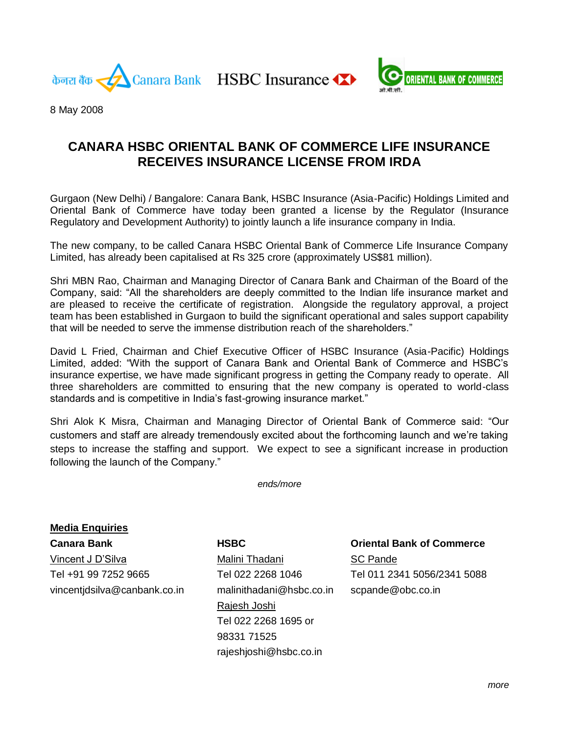केनरा बैंक

Canara Bank HSBC Insurance



8 May 2008

# **CANARA HSBC ORIENTAL BANK OF COMMERCE LIFE INSURANCE RECEIVES INSURANCE LICENSE FROM IRDA**

Gurgaon (New Delhi) / Bangalore: Canara Bank, HSBC Insurance (Asia-Pacific) Holdings Limited and Oriental Bank of Commerce have today been granted a license by the Regulator (Insurance Regulatory and Development Authority) to jointly launch a life insurance company in India.

The new company, to be called Canara HSBC Oriental Bank of Commerce Life Insurance Company Limited, has already been capitalised at Rs 325 crore (approximately US\$81 million).

Shri MBN Rao, Chairman and Managing Director of Canara Bank and Chairman of the Board of the Company, said: "All the shareholders are deeply committed to the Indian life insurance market and are pleased to receive the certificate of registration. Alongside the regulatory approval, a project team has been established in Gurgaon to build the significant operational and sales support capability that will be needed to serve the immense distribution reach of the shareholders."

David L Fried, Chairman and Chief Executive Officer of HSBC Insurance (Asia-Pacific) Holdings Limited, added: "With the support of Canara Bank and Oriental Bank of Commerce and HSBC's insurance expertise, we have made significant progress in getting the Company ready to operate. All three shareholders are committed to ensuring that the new company is operated to world-class standards and is competitive in India's fast-growing insurance market."

Shri Alok K Misra, Chairman and Managing Director of Oriental Bank of Commerce said: "Our customers and staff are already tremendously excited about the forthcoming launch and we're taking steps to increase the staffing and support. We expect to see a significant increase in production following the launch of the Company."

*ends/more*

**Media Enquiries** Vincent J D'Silva **Malini Thadani** SC Pande vincentjdsilva@canbank.co.in malinithadani@hsbc.co.in scpande@obc.co.in

Rajesh Joshi Tel 022 2268 1695 or 98331 71525 rajeshjoshi@hsbc.co.in

# **Canara Bank HSBC Oriental Bank of Commerce**

Tel +91 99 7252 9665 Tel 022 2268 1046 Tel 011 2341 5056/2341 5088